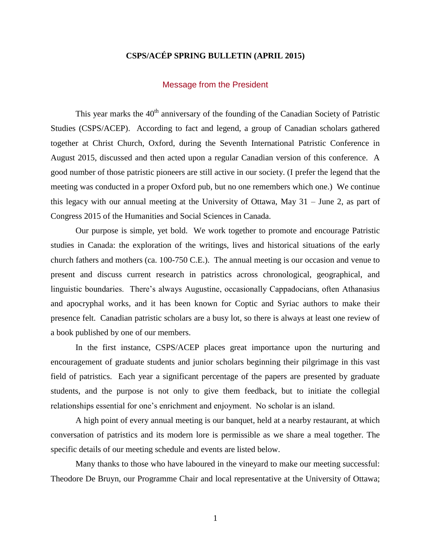# **CSPS/ACÉP SPRING BULLETIN (APRIL 2015)**

#### Message from the President

This year marks the  $40<sup>th</sup>$  anniversary of the founding of the Canadian Society of Patristic Studies (CSPS/ACEP). According to fact and legend, a group of Canadian scholars gathered together at Christ Church, Oxford, during the Seventh International Patristic Conference in August 2015, discussed and then acted upon a regular Canadian version of this conference. A good number of those patristic pioneers are still active in our society. (I prefer the legend that the meeting was conducted in a proper Oxford pub, but no one remembers which one.) We continue this legacy with our annual meeting at the University of Ottawa, May 31 – June 2, as part of Congress 2015 of the Humanities and Social Sciences in Canada.

Our purpose is simple, yet bold. We work together to promote and encourage Patristic studies in Canada: the exploration of the writings, lives and historical situations of the early church fathers and mothers (ca. 100-750 C.E.). The annual meeting is our occasion and venue to present and discuss current research in patristics across chronological, geographical, and linguistic boundaries. There's always Augustine, occasionally Cappadocians, often Athanasius and apocryphal works, and it has been known for Coptic and Syriac authors to make their presence felt. Canadian patristic scholars are a busy lot, so there is always at least one review of a book published by one of our members.

In the first instance, CSPS/ACEP places great importance upon the nurturing and encouragement of graduate students and junior scholars beginning their pilgrimage in this vast field of patristics. Each year a significant percentage of the papers are presented by graduate students, and the purpose is not only to give them feedback, but to initiate the collegial relationships essential for one's enrichment and enjoyment. No scholar is an island.

A high point of every annual meeting is our banquet, held at a nearby restaurant, at which conversation of patristics and its modern lore is permissible as we share a meal together. The specific details of our meeting schedule and events are listed below.

Many thanks to those who have laboured in the vineyard to make our meeting successful: Theodore De Bruyn, our Programme Chair and local representative at the University of Ottawa;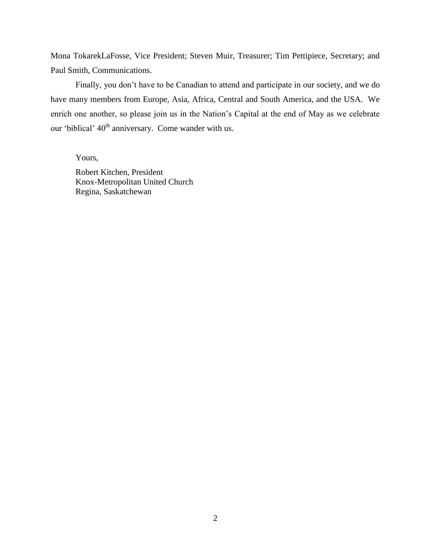Mona TokarekLaFosse, Vice President; Steven Muir, Treasurer; Tim Pettipiece, Secretary; and Paul Smith, Communications.

Finally, you don't have to be Canadian to attend and participate in our society, and we do have many members from Europe, Asia, Africa, Central and South America, and the USA. We enrich one another, so please join us in the Nation's Capital at the end of May as we celebrate our 'biblical' 40<sup>th</sup> anniversary. Come wander with us.

Yours,

Robert Kitchen, President Knox-Metropolitan United Church Regina, Saskatchewan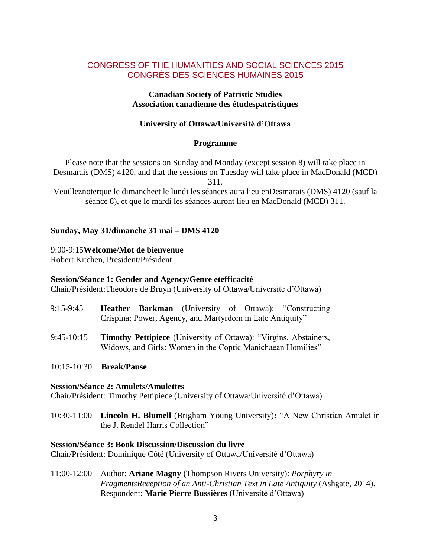# CONGRESS OF THE HUMANITIES AND SOCIAL SCIENCES 2015 CONGRÈS DES SCIENCES HUMAINES 2015

#### **Canadian Society of Patristic Studies Association canadienne des étudespatristiques**

## **University of Ottawa/Université d'Ottawa**

#### **Programme**

Please note that the sessions on Sunday and Monday (except session 8) will take place in Desmarais (DMS) 4120, and that the sessions on Tuesday will take place in MacDonald (MCD)

311.

Veuilleznoterque le dimancheet le lundi les séances aura lieu enDesmarais (DMS) 4120 (sauf la séance 8), et que le mardi les séances auront lieu en MacDonald (MCD) 311.

# **Sunday, May 31/dimanche 31 mai – DMS 4120**

#### 9:00-9:15**Welcome/Mot de bienvenue**

Robert Kitchen, President/Président

## **Session/Séance 1: Gender and Agency/Genre etefficacité**

Chair/Président:Theodore de Bruyn (University of Ottawa/Université d'Ottawa)

- 9:15-9:45 **Heather Barkman** (University of Ottawa): "Constructing Crispina: Power, Agency, and Martyrdom in Late Antiquity"
- 9:45-10:15 **Timothy Pettipiece** (University of Ottawa): "Virgins, Abstainers, Widows, and Girls: Women in the Coptic Manichaean Homilies"
- 10:15-10:30 **Break/Pause**

#### **Session/Séance 2: Amulets/Amulettes**

Chair/Président: Timothy Pettipiece (University of Ottawa/Université d'Ottawa)

10:30-11:00 **Lincoln H. Blumell** (Brigham Young University): "A New Christian Amulet in the J. Rendel Harris Collection"

#### **Session/Séance 3: Book Discussion/Discussion du livre**

Chair/Président: Dominique Côté (University of Ottawa/Université d'Ottawa)

11:00-12:00 Author: **Ariane Magny** (Thompson Rivers University): *Porphyry in FragmentsReception of an Anti-Christian Text in Late Antiquity* (Ashgate, 2014). Respondent: **Marie Pierre Bussières** (Université d'Ottawa)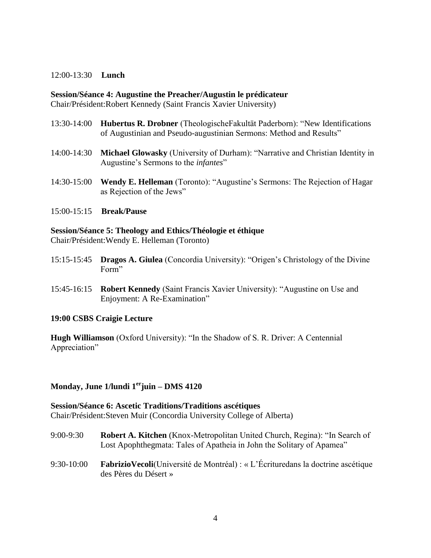#### 12:00-13:30 **Lunch**

#### **Session/Séance 4: Augustine the Preacher/Augustin le prédicateur**

Chair/Président:Robert Kennedy (Saint Francis Xavier University)

- 13:30-14:00 **Hubertus R. Drobner** (TheologischeFakultät Paderborn): "New Identifications of Augustinian and Pseudo-augustinian Sermons: Method and Results"
- 14:00-14:30 **Michael Glowasky** (University of Durham): "Narrative and Christian Identity in Augustine's Sermons to the *infantes*"
- 14:30-15:00 **Wendy E. Helleman** (Toronto): "Augustine's Sermons: The Rejection of Hagar as Rejection of the Jews"
- 15:00-15:15 **Break/Pause**

**Session/Séance 5: Theology and Ethics/Théologie et éthique** Chair/Président:Wendy E. Helleman (Toronto)

- 15:15-15:45 **Dragos A. Giulea** (Concordia University): "Origen's Christology of the Divine Form"
- 15:45-16:15 **Robert Kennedy** (Saint Francis Xavier University): "Augustine on Use and Enjoyment: A Re-Examination"

## **19:00 CSBS Craigie Lecture**

**Hugh Williamson** (Oxford University): "In the Shadow of S. R. Driver: A Centennial Appreciation"

## **Monday, June 1/lundi 1erjuin – DMS 4120**

**Session/Séance 6: Ascetic Traditions/Traditions ascétiques** Chair/Président:Steven Muir (Concordia University College of Alberta)

- 9:00-9:30 **Robert A. Kitchen** (Knox-Metropolitan United Church, Regina): "In Search of Lost Apophthegmata: Tales of Apatheia in John the Solitary of Apamea"
- 9:30-10:00 **FabrizioVecoli**(Université de Montréal) : « L'Écrituredans la doctrine ascétique des Pères du Désert »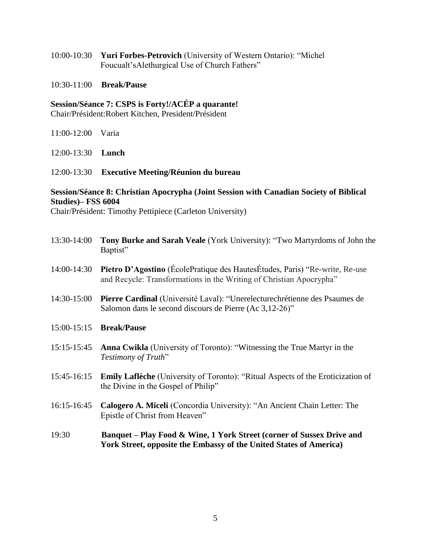10:00-10:30 **Yuri Forbes-Petrovich** (University of Western Ontario): "Michel Foucualt'sAlethurgical Use of Church Fathers"

#### 10:30-11:00 **Break/Pause**

**Session/Séance 7: CSPS is Forty!/ACÉP a quarante!** Chair/Président:Robert Kitchen, President/Président

11:00-12:00 Varia

12:00-13:30 **Lunch**

#### 12:00-13:30 **Executive Meeting/Réunion du bureau**

# **Session/Séance 8: Christian Apocrypha (Joint Session with Canadian Society of Biblical Studies)– FSS 6004**

Chair/Président: Timothy Pettipiece (Carleton University)

- 13:30-14:00 **Tony Burke and Sarah Veale** (York University): "Two Martyrdoms of John the Baptist"
- 14:00-14:30 **Pietro D'Agostino** (ÉcolePratique des HautesÉtudes, Paris) "Re-write, Re-use and Recycle: Transformations in the Writing of Christian Apocrypha"
- 14:30-15:00 **Pierre Cardinal** (Université Laval): "Unerelecturechrétienne des Psaumes de Salomon dans le second discours de Pierre (Ac 3,12-26)"
- 15:00-15:15 **Break/Pause**
- 15:15-15:45 **Anna Cwikla** (University of Toronto): "Witnessing the True Martyr in the **Testimony of Truth**"
- 15:45-16:15 **Emily Laflèche** (University of Toronto): "Ritual Aspects of the Eroticization of the Divine in the Gospel of Philip"
- 16:15-16:45 **Calogero A. Miceli** (Concordia University): "An Ancient Chain Letter: The Epistle of Christ from Heaven"
- 19:30 **Banquet – Play Food & Wine, 1 York Street (corner of Sussex Drive and York Street, opposite the Embassy of the United States of America)**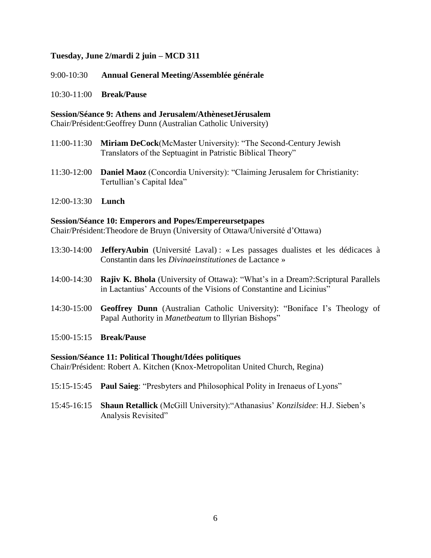# **Tuesday, June 2/mardi 2 juin – MCD 311**

9:00-10:30 **Annual General Meeting/Assemblée générale**

10:30-11:00 **Break/Pause**

**Session/Séance 9: Athens and Jerusalem/AthènesetJérusalem**

Chair/Président:Geoffrey Dunn (Australian Catholic University)

- 11:00-11:30 **Miriam DeCock**(McMaster University): "The Second-Century Jewish Translators of the Septuagint in Patristic Biblical Theory"
- 11:30-12:00 **Daniel Maoz** (Concordia University): "Claiming Jerusalem for Christianity: Tertullian's Capital Idea"
- 12:00-13:30 **Lunch**

#### **Session/Séance 10: Emperors and Popes/Empereursetpapes**

Chair/Président:Theodore de Bruyn (University of Ottawa/Université d'Ottawa)

- 13:30-14:00 **JefferyAubin** (Université Laval) : « Les passages dualistes et les dédicaces à Constantin dans les *Divinaeinstitutiones* de Lactance »
- 14:00-14:30 **Rajiv K. Bhola** (University of Ottawa): "What's in a Dream?:Scriptural Parallels in Lactantius' Accounts of the Visions of Constantine and Licinius"
- 14:30-15:00 **Geoffrey Dunn** (Australian Catholic University): "Boniface I's Theology of Papal Authority in *Manetbeatum* to Illyrian Bishops"
- 15:00-15:15 **Break/Pause**

## **Session/Séance 11: Political Thought/Idées politiques**

Chair/Président: Robert A. Kitchen (Knox-Metropolitan United Church, Regina)

- 15:15-15:45 **Paul Saieg**: "Presbyters and Philosophical Polity in Irenaeus of Lyons"
- 15:45-16:15 **Shaun Retallick** (McGill University): "Athanasius' *Konzilsidee*: H.J. Sieben's Analysis Revisited"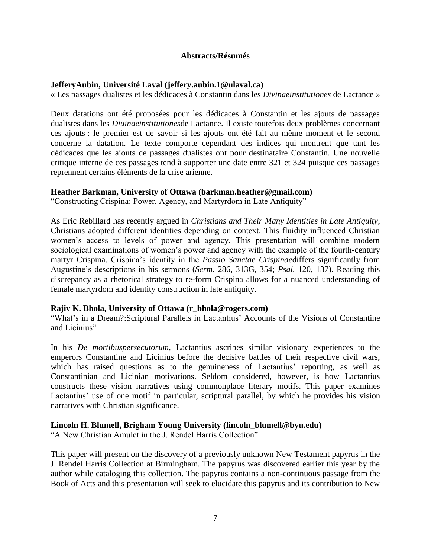## **Abstracts/Résumés**

# **JefferyAubin, Université Laval (jeffery.aubin.1@ulaval.ca)**

« Les passages dualistes et les dédicaces à Constantin dans les *Divinaeinstitutiones* de Lactance »

Deux datations ont été proposées pour les dédicaces à Constantin et les ajouts de passages dualistes dans les *Diuinaeinstitutiones*de Lactance. Il existe toutefois deux problèmes concernant ces ajouts : le premier est de savoir si les ajouts ont été fait au même moment et le second concerne la datation. Le texte comporte cependant des indices qui montrent que tant les dédicaces que les ajouts de passages dualistes ont pour destinataire Constantin. Une nouvelle critique interne de ces passages tend à supporter une date entre 321 et 324 puisque ces passages reprennent certains éléments de la crise arienne.

# **Heather Barkman, University of Ottawa (barkman.heather@gmail.com)**

"Constructing Crispina: Power, Agency, and Martyrdom in Late Antiquity"

As Eric Rebillard has recently argued in *Christians and Their Many Identities in Late Antiquity*, Christians adopted different identities depending on context. This fluidity influenced Christian women's access to levels of power and agency. This presentation will combine modern sociological examinations of women's power and agency with the example of the fourth-century martyr Crispina. Crispina's identity in the *Passio Sanctae Crispinae*differs significantly from Augustine's descriptions in his sermons (*Serm.* 286, 313G, 354; *Psal.* 120, 137). Reading this discrepancy as a rhetorical strategy to re-form Crispina allows for a nuanced understanding of female martyrdom and identity construction in late antiquity.

## **Rajiv K. Bhola, University of Ottawa (r\_bhola@rogers.com)**

―What's in a Dream?:Scriptural Parallels in Lactantius' Accounts of the Visions of Constantine and Licinius"

In his *De mortibuspersecutorum*, Lactantius ascribes similar visionary experiences to the emperors Constantine and Licinius before the decisive battles of their respective civil wars, which has raised questions as to the genuineness of Lactantius' reporting, as well as Constantinian and Licinian motivations. Seldom considered, however, is how Lactantius constructs these vision narratives using commonplace literary motifs. This paper examines Lactantius' use of one motif in particular, scriptural parallel, by which he provides his vision narratives with Christian significance.

## **Lincoln H. Blumell, Brigham Young University (lincoln\_blumell@byu.edu)**

"A New Christian Amulet in the J. Rendel Harris Collection"

This paper will present on the discovery of a previously unknown New Testament papyrus in the J. Rendel Harris Collection at Birmingham. The papyrus was discovered earlier this year by the author while cataloging this collection. The papyrus contains a non-continuous passage from the Book of Acts and this presentation will seek to elucidate this papyrus and its contribution to New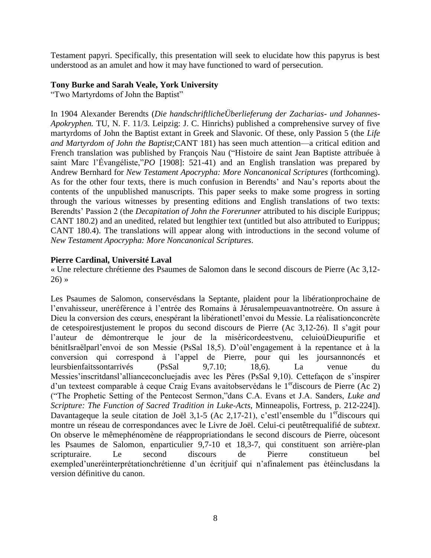Testament papyri. Specifically, this presentation will seek to elucidate how this papyrus is best understood as an amulet and how it may have functioned to ward of persecution.

## **Tony Burke and Sarah Veale, York University**

"Two Martyrdoms of John the Baptist"

In 1904 Alexander Berendts (*Die handschriftlicheÜberlieferung der Zacharias- und Johannes-Apokryphen.* TU, N. F. 11/3. Leipzig: J. C. Hinrichs) published a comprehensive survey of five martyrdoms of John the Baptist extant in Greek and Slavonic. Of these, only Passion 5 (the *Life and Martyrdom of John the Baptist*;CANT 181) has seen much attention—a critical edition and French translation was published by François Nau ("Histoire de saint Jean Baptiste attribuée à saint Marc l'Évangéliste,"*PO* [1908]: 521-41) and an English translation was prepared by Andrew Bernhard for *New Testament Apocrypha: More Noncanonical Scriptures* (forthcoming). As for the other four texts, there is much confusion in Berendts' and Nau's reports about the contents of the unpublished manuscripts. This paper seeks to make some progress in sorting through the various witnesses by presenting editions and English translations of two texts: Berendts' Passion 2 (the *Decapitation of John the Forerunner* attributed to his disciple Eurippus; CANT 180.2) and an unedited, related but lengthier text (untitled but also attributed to Eurippus; CANT 180.4). The translations will appear along with introductions in the second volume of *New Testament Apocrypha: More Noncanonical Scriptures*.

## **Pierre Cardinal, Université Laval**

« Une relecture chrétienne des Psaumes de Salomon dans le second discours de Pierre (Ac 3,12- 26) »

Les Psaumes de Salomon, conservésdans la Septante, plaident pour la libérationprochaine de l'envahisseur, uneréférence à l'entrée des Romains à Jérusalempeuavantnotreère. On assure à Dieu la conversion des cœurs, enespérant la libérationetl'envoi du Messie. La réalisationconcrète de cetespoirestjustement le propos du second discours de Pierre (Ac 3,12-26). Il s'agit pour l'auteur de démontrerque le jour de la miséricordeestvenu, celuioùDieupurifie et bénitIsraëlparl'envoi de son Messie (PsSal 18,5). D'oùl'engagement à la repentance et à la conversion qui correspond à l'appel de Pierre, pour qui les joursannoncés et leursbienfaitssontarrivés (PsSal 9,7.10; 18,6). La venue du Messies'inscritdansl'allianceconcluejadis avec les Pères (PsSal 9,10). Cettefaçon de s'inspirer d'un texteest comparable à ceque Craig Evans avaitobservédans le  $1<sup>er</sup>$ discours de Pierre (Ac 2) (―The Prophetic Setting of the Pentecost Sermon,‖dans C.A. Evans et J.A. Sanders, *Luke and Scripture: The Function of Sacred Tradition in Luke-Acts*, Minneapolis, Fortress, p. 212-224]). Davantageque la seule citation de Joël 3,1-5 (Ac 2,17-21), c'estl'ensemble du 1<sup>er</sup>discours qui montre un réseau de correspondances avec le Livre de Joël. Celui-ci peutêtrequalifié de *subtext*. On observe le mêmephénomène de réappropriationdans le second discours de Pierre, oùcesont les Psaumes de Salomon, enparticulier 9,7-10 et 18,3-7, qui constituent son arrière-plan scripturaire. Le second discours de Pierre constitueun bel exempled'uneréinterprétationchrétienne d'un écritjuif qui n'afinalement pas étéinclusdans la version définitive du canon.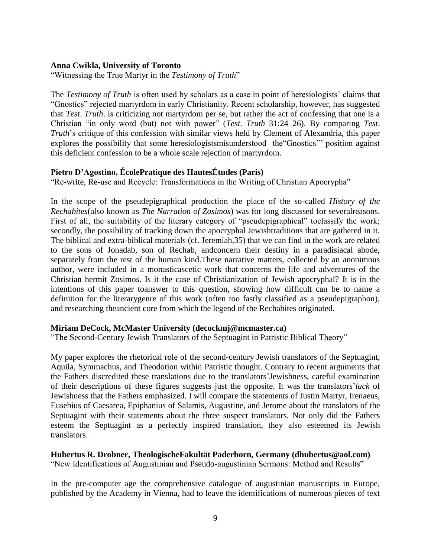#### **Anna Cwikla, University of Toronto**

"Witnessing the True Martyr in the *Testimony of Truth*"

The *Testimony of Truth* is often used by scholars as a case in point of heresiologists' claims that ―Gnostics‖ rejected martyrdom in early Christianity. Recent scholarship, however, has suggested that *Test*. *Truth*. is criticizing not martyrdom per se, but rather the act of confessing that one is a Christian "in only word (but) not with power" (*Test. Truth* 31:24–26). By comparing *Test*. *Truth*'s critique of this confession with similar views held by Clement of Alexandria, this paper explores the possibility that some heresiologistsmisunderstood the "Gnostics" position against this deficient confession to be a whole scale rejection of martyrdom.

#### **Pietro D'Agostino, ÉcolePratique des HautesÉtudes (Paris)**

"Re-write, Re-use and Recycle: Transformations in the Writing of Christian Apocrypha"

In the scope of the pseudepigraphical production the place of the so-called *History of the Rechabites*(also known as *The Narration of Zosimos*) was for long discussed for severalreasons. First of all, the suitability of the literary category of "pseudepigraphical" toclassify the work; secondly, the possibility of tracking down the apocryphal Jewishtraditions that are gathered in it. The biblical and extra-biblical materials (cf. Jeremiah,35) that we can find in the work are related to the sons of Jonadab, son of Rechab, andconcern their destiny in a paradisiacal abode, separately from the rest of the human kind.These narrative matters, collected by an anonimous author, were included in a monasticascetic work that concerns the life and adventures of the Christian hermit Zosimos. Is it the case of Christianization of Jewish apocryphal? It is in the intentions of this paper toanswer to this question, showing how difficult can be to name a definition for the literarygenre of this work (often too fastly classified as a pseudepigraphon), and researching theancient core from which the legend of the Rechabites originated.

#### **Miriam DeCock, McMaster University (decockmj@mcmaster.ca)**

"The Second-Century Jewish Translators of the Septuagint in Patristic Biblical Theory"

My paper explores the rhetorical role of the second-century Jewish translators of the Septuagint, Aquila, Symmachus, and Theodotion within Patristic thought. Contrary to recent arguments that the Fathers discredited these translations due to the translators'Jewishness, careful examination of their descriptions of these figures suggests just the opposite. It was the translators'*lack* of Jewishness that the Fathers emphasized. I will compare the statements of Justin Martyr, Irenaeus, Eusebius of Caesarea, Epiphanius of Salamis, Augustine, and Jerome about the translators of the Septuagint with their statements about the three suspect translators. Not only did the Fathers esteem the Septuagint as a perfectly inspired translation, they also esteemed its Jewish translators.

#### **Hubertus R. Drobner, TheologischeFakultät Paderborn, Germany (dhubertus@aol.com)** "New Identifications of Augustinian and Pseudo-augustinian Sermons: Method and Results"

In the pre-computer age the comprehensive catalogue of augustinian manuscripts in Europe, published by the Academy in Vienna, had to leave the identifications of numerous pieces of text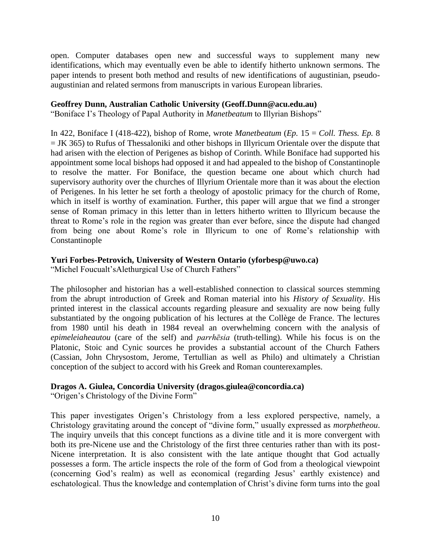open. Computer databases open new and successful ways to supplement many new identifications, which may eventually even be able to identify hitherto unknown sermons. The paper intends to present both method and results of new identifications of augustinian, pseudoaugustinian and related sermons from manuscripts in various European libraries.

## **Geoffrey Dunn, Australian Catholic University (Geoff.Dunn@acu.edu.au)**

"Boniface I's Theology of Papal Authority in *Manetbeatum* to Illyrian Bishops"

In 422, Boniface I (418-422), bishop of Rome, wrote *Manetbeatum* (*Ep.* 15 = *Coll. Thess. Ep.* 8  $=$  JK 365) to Rufus of Thessaloniki and other bishops in Illyricum Orientale over the dispute that had arisen with the election of Perigenes as bishop of Corinth. While Boniface had supported his appointment some local bishops had opposed it and had appealed to the bishop of Constantinople to resolve the matter. For Boniface, the question became one about which church had supervisory authority over the churches of Illyrium Orientale more than it was about the election of Perigenes. In his letter he set forth a theology of apostolic primacy for the church of Rome, which in itself is worthy of examination. Further, this paper will argue that we find a stronger sense of Roman primacy in this letter than in letters hitherto written to Illyricum because the threat to Rome's role in the region was greater than ever before, since the dispute had changed from being one about Rome's role in Illyricum to one of Rome's relationship with Constantinople

# **Yuri Forbes-Petrovich, University of Western Ontario (yforbesp@uwo.ca)**

"Michel Foucualt'sAlethurgical Use of Church Fathers"

The philosopher and historian has a well-established connection to classical sources stemming from the abrupt introduction of Greek and Roman material into his *History of Sexuality*. His printed interest in the classical accounts regarding pleasure and sexuality are now being fully substantiated by the ongoing publication of his lectures at the Collège de France. The lectures from 1980 until his death in 1984 reveal an overwhelming concern with the analysis of *epimeleiaheautou* (care of the self) and *parrhēsia* (truth-telling). While his focus is on the Platonic, Stoic and Cynic sources he provides a substantial account of the Church Fathers (Cassian, John Chrysostom, Jerome, Tertullian as well as Philo) and ultimately a Christian conception of the subject to accord with his Greek and Roman counterexamples.

## **Dragos A. Giulea, Concordia University (dragos.giulea@concordia.ca)**

"Origen's Christology of the Divine Form"

This paper investigates Origen's Christology from a less explored perspective, namely, a Christology gravitating around the concept of "divine form," usually expressed as *morphetheou*. The inquiry unveils that this concept functions as a divine title and it is more convergent with both its pre-Nicene use and the Christology of the first three centuries rather than with its post-Nicene interpretation. It is also consistent with the late antique thought that God actually possesses a form. The article inspects the role of the form of God from a theological viewpoint (concerning God's realm) as well as economical (regarding Jesus' earthly existence) and eschatological. Thus the knowledge and contemplation of Christ's divine form turns into the goal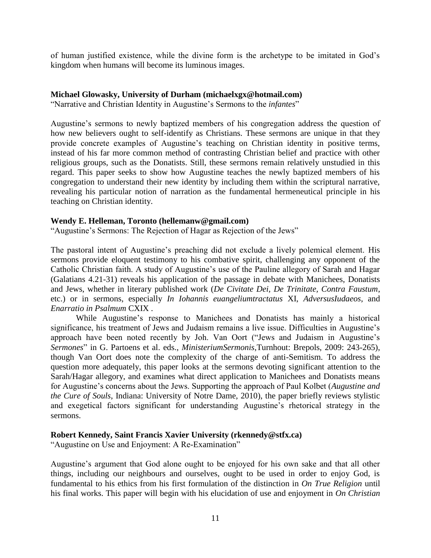of human justified existence, while the divine form is the archetype to be imitated in God's kingdom when humans will become its luminous images.

#### **Michael Glowasky, University of Durham (michaelxgx@hotmail.com)**

"Narrative and Christian Identity in Augustine's Sermons to the *infantes*"

Augustine's sermons to newly baptized members of his congregation address the question of how new believers ought to self-identify as Christians. These sermons are unique in that they provide concrete examples of Augustine's teaching on Christian identity in positive terms, instead of his far more common method of contrasting Christian belief and practice with other religious groups, such as the Donatists. Still, these sermons remain relatively unstudied in this regard. This paper seeks to show how Augustine teaches the newly baptized members of his congregation to understand their new identity by including them within the scriptural narrative, revealing his particular notion of narration as the fundamental hermeneutical principle in his teaching on Christian identity.

#### **Wendy E. Helleman, Toronto (hellemanw@gmail.com)**

"Augustine's Sermons: The Rejection of Hagar as Rejection of the Jews"

The pastoral intent of Augustine's preaching did not exclude a lively polemical element. His sermons provide eloquent testimony to his combative spirit, challenging any opponent of the Catholic Christian faith. A study of Augustine's use of the Pauline allegory of Sarah and Hagar (Galatians 4.21-31) reveals his application of the passage in debate with Manichees, Donatists and Jews, whether in literary published work (*De Civitate Dei, De Trinitate, Contra Faustum*, etc.) or in sermons, especially *In Iohannis euangeliumtractatus* XI, *AdversusIudaeos*, and *Enarratio in Psalmum* CXIX .

While Augustine's response to Manichees and Donatists has mainly a historical significance, his treatment of Jews and Judaism remains a live issue. Difficulties in Augustine's approach have been noted recently by Joh. Van Oort ("Jews and Judaism in Augustine's *Sermones*‖ in G. Partoens et al. eds., *MinisteriumSermonis*,Turnhout: Brepols, 2009: 243-265), though Van Oort does note the complexity of the charge of anti-Semitism. To address the question more adequately, this paper looks at the sermons devoting significant attention to the Sarah/Hagar allegory, and examines what direct application to Manichees and Donatists means for Augustine's concerns about the Jews. Supporting the approach of Paul Kolbet (*Augustine and the Cure of Souls*, Indiana: University of Notre Dame, 2010), the paper briefly reviews stylistic and exegetical factors significant for understanding Augustine's rhetorical strategy in the sermons.

## **Robert Kennedy, Saint Francis Xavier University (rkennedy@stfx.ca)**

"Augustine on Use and Enjoyment: A Re-Examination"

Augustine's argument that God alone ought to be enjoyed for his own sake and that all other things, including our neighbours and ourselves, ought to be used in order to enjoy God, is fundamental to his ethics from his first formulation of the distinction in *On True Religion* until his final works. This paper will begin with his elucidation of use and enjoyment in *On Christian*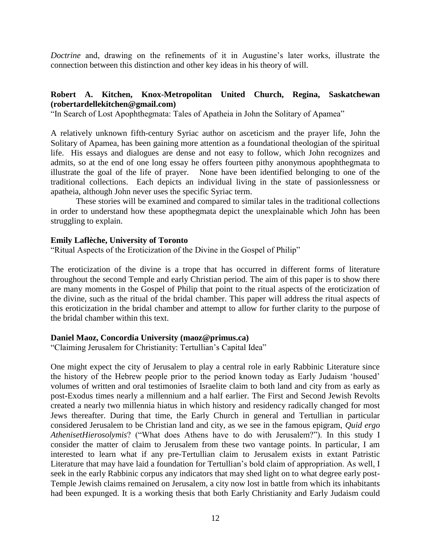*Doctrine* and, drawing on the refinements of it in Augustine's later works, illustrate the connection between this distinction and other key ideas in his theory of will.

# **Robert A. Kitchen, Knox-Metropolitan United Church, Regina, Saskatchewan (robertardellekitchen@gmail.com)**

"In Search of Lost Apophthegmata: Tales of Apatheia in John the Solitary of Apamea"

A relatively unknown fifth-century Syriac author on asceticism and the prayer life, John the Solitary of Apamea, has been gaining more attention as a foundational theologian of the spiritual life. His essays and dialogues are dense and not easy to follow, which John recognizes and admits, so at the end of one long essay he offers fourteen pithy anonymous apophthegmata to illustrate the goal of the life of prayer. None have been identified belonging to one of the traditional collections. Each depicts an individual living in the state of passionlessness or apatheia, although John never uses the specific Syriac term.

These stories will be examined and compared to similar tales in the traditional collections in order to understand how these apopthegmata depict the unexplainable which John has been struggling to explain.

#### **Emily Laflèche, University of Toronto**

"Ritual Aspects of the Eroticization of the Divine in the Gospel of Philip"

The eroticization of the divine is a trope that has occurred in different forms of literature throughout the second Temple and early Christian period. The aim of this paper is to show there are many moments in the Gospel of Philip that point to the ritual aspects of the eroticization of the divine, such as the ritual of the bridal chamber. This paper will address the ritual aspects of this eroticization in the bridal chamber and attempt to allow for further clarity to the purpose of the bridal chamber within this text.

#### **Daniel Maoz, Concordia University (maoz@primus.ca)**

"Claiming Jerusalem for Christianity: Tertullian's Capital Idea"

One might expect the city of Jerusalem to play a central role in early Rabbinic Literature since the history of the Hebrew people prior to the period known today as Early Judaism 'housed' volumes of written and oral testimonies of Israelite claim to both land and city from as early as post-Exodus times nearly a millennium and a half earlier. The First and Second Jewish Revolts created a nearly two millennia hiatus in which history and residency radically changed for most Jews thereafter. During that time, the Early Church in general and Tertullian in particular considered Jerusalem to be Christian land and city, as we see in the famous epigram, *Quid ergo AthenisetHierosolymis*? ("What does Athens have to do with Jerusalem?"). In this study I consider the matter of claim to Jerusalem from these two vantage points. In particular, I am interested to learn what if any pre-Tertullian claim to Jerusalem exists in extant Patristic Literature that may have laid a foundation for Tertullian's bold claim of appropriation. As well, I seek in the early Rabbinic corpus any indicators that may shed light on to what degree early post-Temple Jewish claims remained on Jerusalem, a city now lost in battle from which its inhabitants had been expunged. It is a working thesis that both Early Christianity and Early Judaism could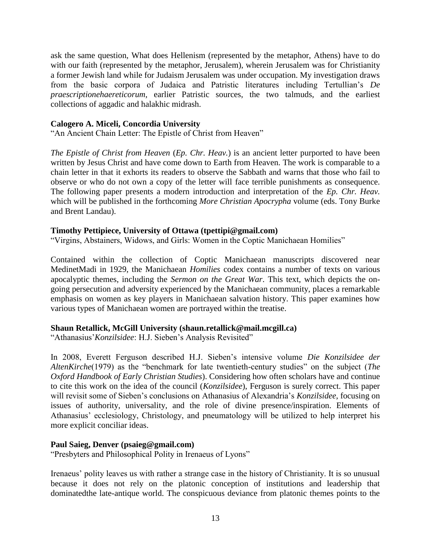ask the same question, What does Hellenism (represented by the metaphor, Athens) have to do with our faith (represented by the metaphor, Jerusalem), wherein Jerusalem was for Christianity a former Jewish land while for Judaism Jerusalem was under occupation. My investigation draws from the basic corpora of Judaica and Patristic literatures including Tertullian's *De praescriptionehaereticorum*, earlier Patristic sources, the two talmuds, and the earliest collections of aggadic and halakhic midrash.

## **Calogero A. Miceli, Concordia University**

"An Ancient Chain Letter: The Epistle of Christ from Heaven"

*The Epistle of Christ from Heaven* (*Ep. Chr. Heav.*) is an ancient letter purported to have been written by Jesus Christ and have come down to Earth from Heaven. The work is comparable to a chain letter in that it exhorts its readers to observe the Sabbath and warns that those who fail to observe or who do not own a copy of the letter will face terrible punishments as consequence. The following paper presents a modern introduction and interpretation of the *Ep. Chr. Heav.*  which will be published in the forthcoming *More Christian Apocrypha* volume (eds. Tony Burke and Brent Landau).

# **Timothy Pettipiece, University of Ottawa (tpettipi@gmail.com)**

"Virgins, Abstainers, Widows, and Girls: Women in the Coptic Manichaean Homilies"

Contained within the collection of Coptic Manichaean manuscripts discovered near MedinetMadi in 1929, the Manichaean *Homilies* codex contains a number of texts on various apocalyptic themes, including the *Sermon on the Great War*. This text, which depicts the ongoing persecution and adversity experienced by the Manichaean community, places a remarkable emphasis on women as key players in Manichaean salvation history. This paper examines how various types of Manichaean women are portrayed within the treatise.

## **Shaun Retallick, McGill University (shaun.retallick@mail.mcgill.ca)**

"Athanasius' Konzilsidee: H.J. Sieben's Analysis Revisited"

In 2008, Everett Ferguson described H.J. Sieben's intensive volume *Die Konzilsidee der AltenKirche*(1979) as the "benchmark for late twentieth-century studies" on the subject (*The Oxford Handbook of Early Christian Studies*). Considering how often scholars have and continue to cite this work on the idea of the council (*Konzilsidee*), Ferguson is surely correct. This paper will revisit some of Sieben's conclusions on Athanasius of Alexandria's *Konzilsidee*, focusing on issues of authority, universality, and the role of divine presence/inspiration. Elements of Athanasius' ecclesiology, Christology, and pneumatology will be utilized to help interpret his more explicit conciliar ideas.

## **Paul Saieg, Denver (psaieg@gmail.com)**

"Presbyters and Philosophical Polity in Irenaeus of Lyons"

Irenaeus' polity leaves us with rather a strange case in the history of Christianity. It is so unusual because it does not rely on the platonic conception of institutions and leadership that dominatedthe late-antique world. The conspicuous deviance from platonic themes points to the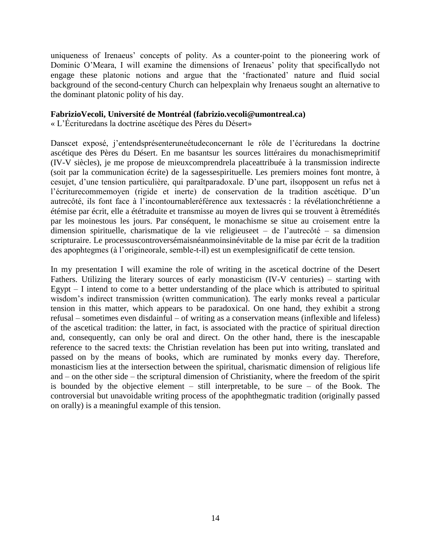uniqueness of Irenaeus' concepts of polity. As a counter-point to the pioneering work of Dominic O'Meara, I will examine the dimensions of Irenaeus' polity that specificallydo not engage these platonic notions and argue that the 'fractionated' nature and fluid social background of the second-century Church can helpexplain why Irenaeus sought an alternative to the dominant platonic polity of his day.

#### **FabrizioVecoli, Université de Montréal (fabrizio.vecoli@umontreal.ca)**

« L'Écrituredans la doctrine ascétique des Pères du Désert»

Danscet exposé, j'entendsprésenteruneétudeconcernant le rôle de l'écrituredans la doctrine ascétique des Pères du Désert. En me basantsur les sources littéraires du monachismeprimitif (IV-V siècles), je me propose de mieuxcomprendrela placeattribuée à la transmission indirecte (soit par la communication écrite) de la sagessespirituelle. Les premiers moines font montre, à cesujet, d'une tension particulière, qui paraîtparadoxale. D'une part, ilsopposent un refus net à l'écriturecommemoyen (rigide et inerte) de conservation de la tradition ascétique. D'un autrecôté, ils font face à l'incontournableréférence aux textessacrés : la révélationchrétienne a étémise par écrit, elle a ététraduite et transmisse au moyen de livres qui se trouvent à êtremédités par les moinestous les jours. Par conséquent, le monachisme se situe au croisement entre la dimension spirituelle, charismatique de la vie religieuseet – de l'autrecôté – sa dimension scripturaire. Le processuscontroversémaisnéanmoinsinévitable de la mise par écrit de la tradition des apophtegmes (à l'origineorale, semble-t-il) est un exemplesignificatif de cette tension.

In my presentation I will examine the role of writing in the ascetical doctrine of the Desert Fathers. Utilizing the literary sources of early monasticism (IV-V centuries) – starting with Egypt  $-$  I intend to come to a better understanding of the place which is attributed to spiritual wisdom's indirect transmission (written communication). The early monks reveal a particular tension in this matter, which appears to be paradoxical. On one hand, they exhibit a strong refusal – sometimes even disdainful – of writing as a conservation means (inflexible and lifeless) of the ascetical tradition: the latter, in fact, is associated with the practice of spiritual direction and, consequently, can only be oral and direct. On the other hand, there is the inescapable reference to the sacred texts: the Christian revelation has been put into writing, translated and passed on by the means of books, which are ruminated by monks every day. Therefore, monasticism lies at the intersection between the spiritual, charismatic dimension of religious life and – on the other side – the scriptural dimension of Christianity, where the freedom of the spirit is bounded by the objective element – still interpretable, to be sure – of the Book. The controversial but unavoidable writing process of the apophthegmatic tradition (originally passed on orally) is a meaningful example of this tension.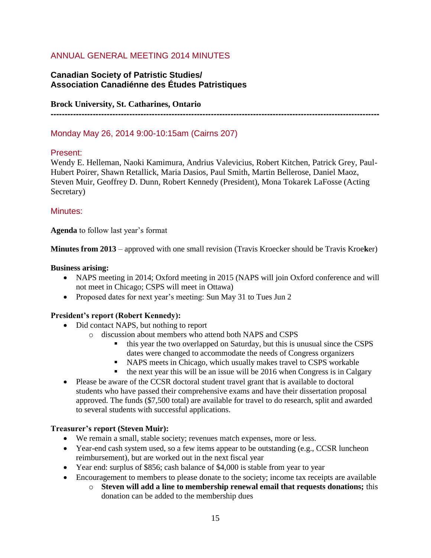# ANNUAL GENERAL MEETING 2014 MINUTES

# **Canadian Society of Patristic Studies/ Association Canadiénne des Études Patristiques**

# **Brock University, St. Catharines, Ontario**

**---------------------------------------------------------------------------------------------------------------------**

# Monday May 26, 2014 9:00-10:15am (Cairns 207)

## Present:

Wendy E. Helleman, Naoki Kamimura, Andrius Valevicius, Robert Kitchen, Patrick Grey, Paul-Hubert Poirer, Shawn Retallick, Maria Dasios, Paul Smith, Martin Bellerose, Daniel Maoz, Steven Muir, Geoffrey D. Dunn, Robert Kennedy (President), Mona Tokarek LaFosse (Acting Secretary)

## Minutes:

**Agenda** to follow last year's format

**Minutes from 2013** – approved with one small revision (Travis Kroecker should be Travis Kroe**k**er)

#### **Business arising:**

- NAPS meeting in 2014; Oxford meeting in 2015 (NAPS will join Oxford conference and will not meet in Chicago; CSPS will meet in Ottawa)
- Proposed dates for next year's meeting: Sun May 31 to Tues Jun 2

## **President's report (Robert Kennedy):**

- Did contact NAPS, but nothing to report
	- o discussion about members who attend both NAPS and CSPS
		- this year the two overlapped on Saturday, but this is unusual since the CSPS dates were changed to accommodate the needs of Congress organizers
		- NAPS meets in Chicago, which usually makes travel to CSPS workable
		- $\bullet$  the next year this will be an issue will be 2016 when Congress is in Calgary
- Please be aware of the CCSR doctoral student travel grant that is available to doctoral students who have passed their comprehensive exams and have their dissertation proposal approved. The funds (\$7,500 total) are available for travel to do research, split and awarded to several students with successful applications.

#### **Treasurer's report (Steven Muir):**

- We remain a small, stable society; revenues match expenses, more or less.
- Year-end cash system used, so a few items appear to be outstanding (e.g., CCSR luncheon reimbursement), but are worked out in the next fiscal year
- Year end: surplus of \$856; cash balance of \$4,000 is stable from year to year
- Encouragement to members to please donate to the society; income tax receipts are available
	- o **Steven will add a line to membership renewal email that requests donations;** this donation can be added to the membership dues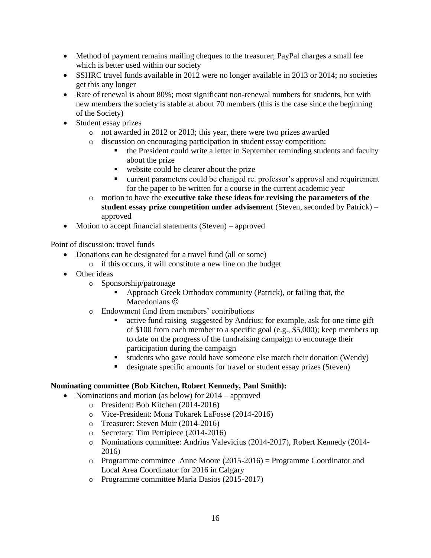- Method of payment remains mailing cheques to the treasurer; PayPal charges a small fee which is better used within our society
- SSHRC travel funds available in 2012 were no longer available in 2013 or 2014; no societies get this any longer
- Rate of renewal is about 80%; most significant non-renewal numbers for students, but with new members the society is stable at about 70 members (this is the case since the beginning of the Society)
- Student essay prizes
	- o not awarded in 2012 or 2013; this year, there were two prizes awarded
	- o discussion on encouraging participation in student essay competition:
		- the President could write a letter in September reminding students and faculty about the prize
		- website could be clearer about the prize
		- current parameters could be changed re. professor's approval and requirement for the paper to be written for a course in the current academic year
	- o motion to have the **executive take these ideas for revising the parameters of the student essay prize competition under advisement** (Steven, seconded by Patrick) – approved
- Motion to accept financial statements (Steven) approved

Point of discussion: travel funds

- Donations can be designated for a travel fund (all or some)
	- o if this occurs, it will constitute a new line on the budget
- Other ideas
	- o Sponsorship/patronage
		- Approach Greek Orthodox community (Patrick), or failing that, the Macedonians  $\odot$
	- o Endowment fund from members' contributions
		- active fund raising suggested by Andrius; for example, ask for one time gift of \$100 from each member to a specific goal (e.g., \$5,000); keep members up to date on the progress of the fundraising campaign to encourage their participation during the campaign
		- students who gave could have someone else match their donation (Wendy)
		- designate specific amounts for travel or student essay prizes (Steven)

## **Nominating committee (Bob Kitchen, Robert Kennedy, Paul Smith):**

- Nominations and motion (as below) for 2014 approved
	- o President: Bob Kitchen (2014-2016)
	- o Vice-President: Mona Tokarek LaFosse (2014-2016)
	- o Treasurer: Steven Muir (2014-2016)
	- o Secretary: Tim Pettipiece (2014-2016)
	- o Nominations committee: Andrius Valevicius (2014-2017), Robert Kennedy (2014- 2016)
	- o Programme committee Anne Moore (2015-2016) = Programme Coordinator and Local Area Coordinator for 2016 in Calgary
	- o Programme committee Maria Dasios (2015-2017)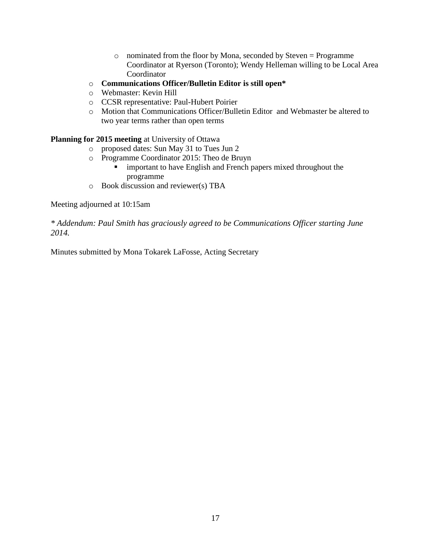- o nominated from the floor by Mona, seconded by Steven = Programme Coordinator at Ryerson (Toronto); Wendy Helleman willing to be Local Area Coordinator
- o **Communications Officer/Bulletin Editor is still open\***
- o Webmaster: Kevin Hill
- o CCSR representative: Paul-Hubert Poirier
- o Motion that Communications Officer/Bulletin Editor and Webmaster be altered to two year terms rather than open terms

# **Planning for 2015 meeting** at University of Ottawa

- o proposed dates: Sun May 31 to Tues Jun 2
- o Programme Coordinator 2015: Theo de Bruyn
	- important to have English and French papers mixed throughout the programme
- o Book discussion and reviewer(s) TBA

Meeting adjourned at 10:15am

*\* Addendum: Paul Smith has graciously agreed to be Communications Officer starting June 2014.*

Minutes submitted by Mona Tokarek LaFosse, Acting Secretary